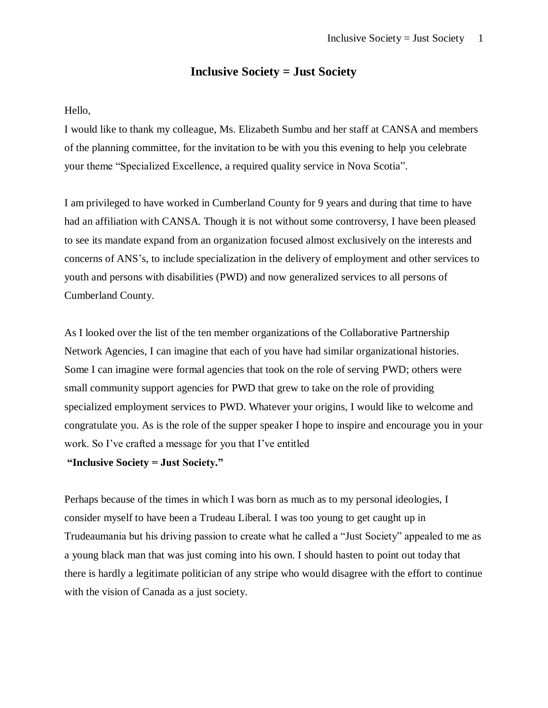## **Inclusive Society = Just Society**

## Hello,

I would like to thank my colleague, Ms. Elizabeth Sumbu and her staff at CANSA and members of the planning committee, for the invitation to be with you this evening to help you celebrate your theme "Specialized Excellence, a required quality service in Nova Scotia".

I am privileged to have worked in Cumberland County for 9 years and during that time to have had an affiliation with CANSA. Though it is not without some controversy, I have been pleased to see its mandate expand from an organization focused almost exclusively on the interests and concerns of ANS's, to include specialization in the delivery of employment and other services to youth and persons with disabilities (PWD) and now generalized services to all persons of Cumberland County.

As I looked over the list of the ten member organizations of the Collaborative Partnership Network Agencies, I can imagine that each of you have had similar organizational histories. Some I can imagine were formal agencies that took on the role of serving PWD; others were small community support agencies for PWD that grew to take on the role of providing specialized employment services to PWD. Whatever your origins, I would like to welcome and congratulate you. As is the role of the supper speaker I hope to inspire and encourage you in your work. So I've crafted a message for you that I've entitled

## **"Inclusive Society = Just Society."**

Perhaps because of the times in which I was born as much as to my personal ideologies, I consider myself to have been a Trudeau Liberal. I was too young to get caught up in Trudeaumania but his driving passion to create what he called a "Just Society" appealed to me as a young black man that was just coming into his own. I should hasten to point out today that there is hardly a legitimate politician of any stripe who would disagree with the effort to continue with the vision of Canada as a just society.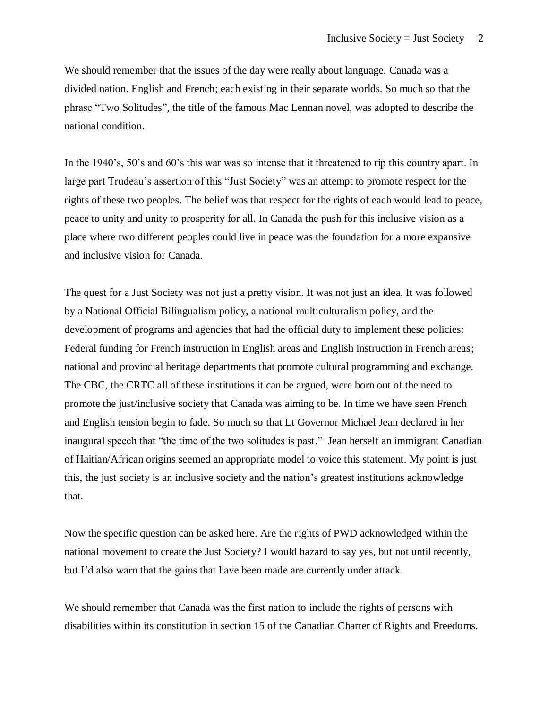We should remember that the issues of the day were really about language. Canada was a divided nation. English and French; each existing in their separate worlds. So much so that the phrase "Two Solitudes", the title of the famous Mac Lennan novel, was adopted to describe the national condition.

In the 1940's, 50's and 60's this war was so intense that it threatened to rip this country apart. In large part Trudeau's assertion of this "Just Society" was an attempt to promote respect for the rights of these two peoples. The belief was that respect for the rights of each would lead to peace, peace to unity and unity to prosperity for all. In Canada the push for this inclusive vision as a place where two different peoples could live in peace was the foundation for a more expansive and inclusive vision for Canada.

The quest for a Just Society was not just a pretty vision. It was not just an idea. It was followed by a National Official Bilingualism policy, a national multiculturalism policy, and the development of programs and agencies that had the official duty to implement these policies: Federal funding for French instruction in English areas and English instruction in French areas; national and provincial heritage departments that promote cultural programming and exchange. The CBC, the CRTC all of these institutions it can be argued, were born out of the need to promote the just/inclusive society that Canada was aiming to be. In time we have seen French and English tension begin to fade. So much so that Lt Governor Michael Jean declared in her inaugural speech that "the time of the two solitudes is past." Jean herself an immigrant Canadian of Haitian/African origins seemed an appropriate model to voice this statement. My point is just this, the just society is an inclusive society and the nation's greatest institutions acknowledge that.

Now the specific question can be asked here. Are the rights of PWD acknowledged within the national movement to create the Just Society? I would hazard to say yes, but not until recently, but I'd also warn that the gains that have been made are currently under attack.

We should remember that Canada was the first nation to include the rights of persons with disabilities within its constitution in section 15 of the Canadian Charter of Rights and Freedoms.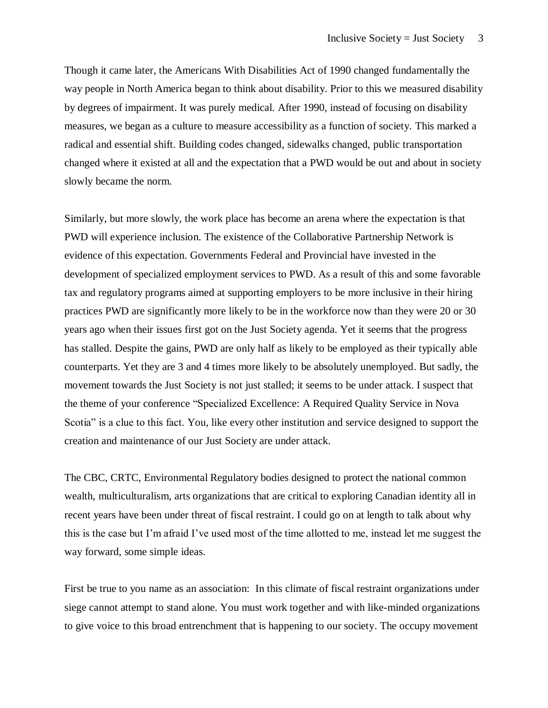Though it came later, the Americans With Disabilities Act of 1990 changed fundamentally the way people in North America began to think about disability. Prior to this we measured disability by degrees of impairment. It was purely medical. After 1990, instead of focusing on disability measures, we began as a culture to measure accessibility as a function of society. This marked a radical and essential shift. Building codes changed, sidewalks changed, public transportation changed where it existed at all and the expectation that a PWD would be out and about in society slowly became the norm.

Similarly, but more slowly, the work place has become an arena where the expectation is that PWD will experience inclusion. The existence of the Collaborative Partnership Network is evidence of this expectation. Governments Federal and Provincial have invested in the development of specialized employment services to PWD. As a result of this and some favorable tax and regulatory programs aimed at supporting employers to be more inclusive in their hiring practices PWD are significantly more likely to be in the workforce now than they were 20 or 30 years ago when their issues first got on the Just Society agenda. Yet it seems that the progress has stalled. Despite the gains, PWD are only half as likely to be employed as their typically able counterparts. Yet they are 3 and 4 times more likely to be absolutely unemployed. But sadly, the movement towards the Just Society is not just stalled; it seems to be under attack. I suspect that the theme of your conference "Specialized Excellence: A Required Quality Service in Nova Scotia" is a clue to this fact. You, like every other institution and service designed to support the creation and maintenance of our Just Society are under attack.

The CBC, CRTC, Environmental Regulatory bodies designed to protect the national common wealth, multiculturalism, arts organizations that are critical to exploring Canadian identity all in recent years have been under threat of fiscal restraint. I could go on at length to talk about why this is the case but I'm afraid I've used most of the time allotted to me, instead let me suggest the way forward, some simple ideas.

First be true to you name as an association: In this climate of fiscal restraint organizations under siege cannot attempt to stand alone. You must work together and with like-minded organizations to give voice to this broad entrenchment that is happening to our society. The occupy movement